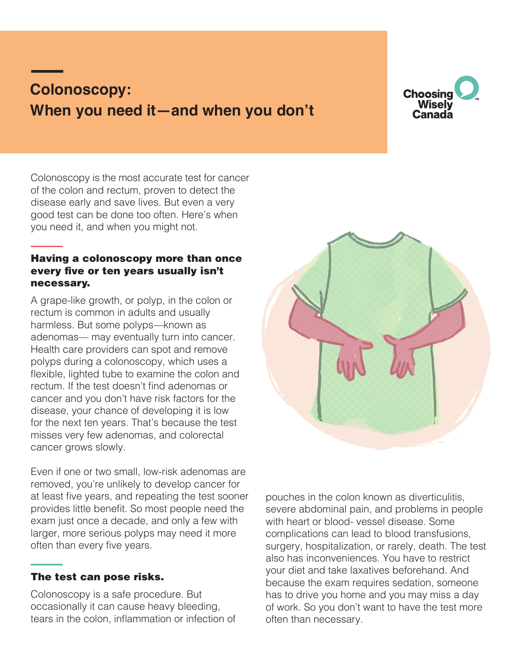# **Colonoscopy: When you need it—and when you don't**



Colonoscopy is the most accurate test for cancer of the colon and rectum, proven to detect the disease early and save lives. But even a very good test can be done too often. Here's when you need it, and when you might not.

## Having a colonoscopy more than once every five or ten years usually isn't necessary.

A grape-like growth, or polyp, in the colon or rectum is common in adults and usually harmless. But some polyps—known as adenomas— may eventually turn into cancer. Health care providers can spot and remove polyps during a colonoscopy, which uses a flexible, lighted tube to examine the colon and rectum. If the test doesn't find adenomas or cancer and you don't have risk factors for the disease, your chance of developing it is low for the next ten years. That's because the test misses very few adenomas, and colorectal cancer grows slowly.

Even if one or two small, low-risk adenomas are removed, you're unlikely to develop cancer for at least five years, and repeating the test sooner provides little benefit. So most people need the exam just once a decade, and only a few with larger, more serious polyps may need it more often than every five years.

### The test can pose risks.

Colonoscopy is a safe procedure. But occasionally it can cause heavy bleeding, tears in the colon, inflammation or infection of



pouches in the colon known as diverticulitis, severe abdominal pain, and problems in people with heart or blood- vessel disease. Some complications can lead to blood transfusions, surgery, hospitalization, or rarely, death. The test also has inconveniences. You have to restrict your diet and take laxatives beforehand. And because the exam requires sedation, someone has to drive you home and you may miss a day of work. So you don't want to have the test more often than necessary.